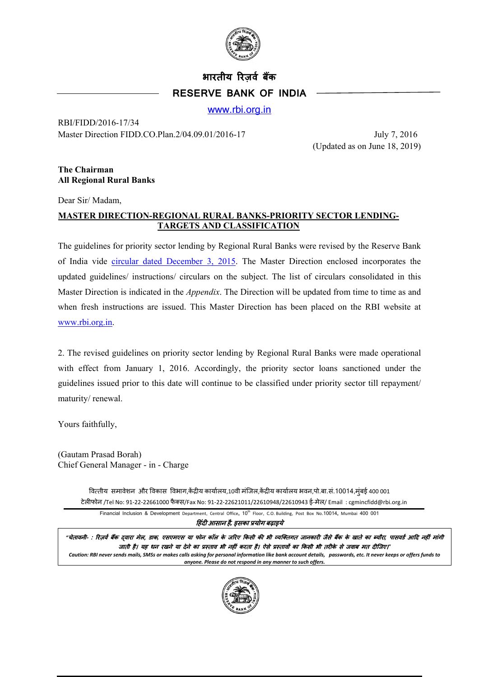

# **भारतीय �रज़वर् बक� RESERVE BANK OF INDIA**

[www.rbi.org.in](http://www.rbi.org.in/)

RBI/FIDD/2016-17/34 Master Direction FIDD.CO.Plan.2/04.09.01/2016-17 July 7, 2016

(Updated as on June 18, 2019)

#### **The Chairman All Regional Rural Banks**

Dear Sir/ Madam,

## **MASTER DIRECTION-REGIONAL RURAL BANKS-PRIORITY SECTOR LENDING-TARGETS AND CLASSIFICATION**

The guidelines for priority sector lending by Regional Rural Banks were revised by the Reserve Bank of India vide [circular dated December 3, 2015.](https://rbi.org.in/Scripts/NotificationUser.aspx?Id=10155&Mode=0) The Master Direction enclosed incorporates the updated guidelines/ instructions/ circulars on the subject. The list of circulars consolidated in this Master Direction is indicated in the *Appendix*. The Direction will be updated from time to time as and when fresh instructions are issued. This Master Direction has been placed on the RBI website at [www.rbi.org.in.](http://www.rbi.org.in/)

2. The revised guidelines on priority sector lending by Regional Rural Banks were made operational with effect from January 1, 2016. Accordingly, the priority sector loans sanctioned under the guidelines issued prior to this date will continue to be classified under priority sector till repayment/ maturity/ renewal.

Yours faithfully,

(Gautam Prasad Borah) Chief General Manager - in - Charge

> वित्तीय समावेशन और विकास विभाग,केंद्रीय कार्यालय,10वी मंजिल,केंद्रीय कार्यालय भवन,पो.बा.सं.10014,मुंबई 400 001 टेल�फोन /Tel No: 91-22-22661000 फै क्स/Fax No: 91-22-22621011/22610948/22610943 ई-मेल/ Email : cgmincfidd@rbi.org.in

Financial Inclusion & Development Department, Central Office, 10<sup>th</sup> Floor, C.O. Building, Post Box No.10014, Mumbai 400 001

�हंद� आसान है*,* इसका प्रयोग बढ़ाइये

"चेतावनी- : रिज़र्व बैंक दवारा मेल, डाक, एसएमएस या फोन कॉल के जरिए किसी की भी व्यक्तिगत जानकारी जैसे बैंक के खाते का ब्यौरा, पासवर्ड आदि नहीं मांगी जाती है। यह धन रखने या देने का प्रस्ताव भी नहीं करता है। ऐसे प्रस्तावों का किसी भी तरीके से जवाब मत दीजिए।" *Caution: RBI never sends mails, SMSs or makes calls asking for personal information like bank account details, passwords, etc. It never keeps or offers funds to anyone. Please do not respond in any manner to such offers.*

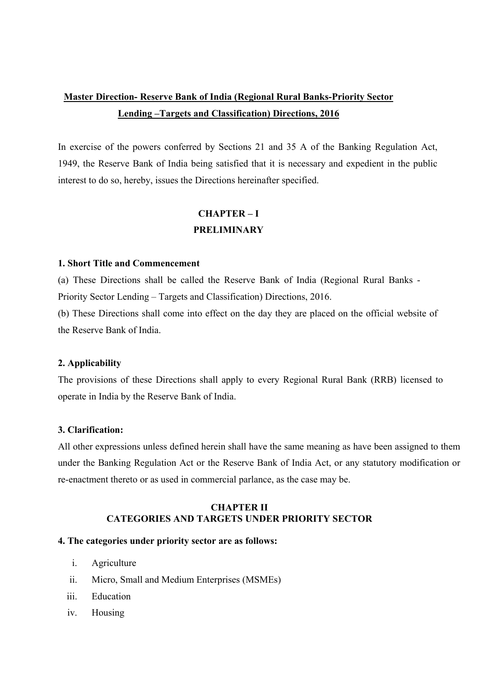## **Master Direction- Reserve Bank of India (Regional Rural Banks-Priority Sector Lending –Targets and Classification) Directions, 2016**

In exercise of the powers conferred by Sections 21 and 35 A of the Banking Regulation Act, 1949, the Reserve Bank of India being satisfied that it is necessary and expedient in the public interest to do so, hereby, issues the Directions hereinafter specified.

## **CHAPTER – I PRELIMINARY**

### **1. Short Title and Commencement**

(a) These Directions shall be called the Reserve Bank of India (Regional Rural Banks - Priority Sector Lending – Targets and Classification) Directions, 2016.

(b) These Directions shall come into effect on the day they are placed on the official website of the Reserve Bank of India.

## **2. Applicability**

The provisions of these Directions shall apply to every Regional Rural Bank (RRB) licensed to operate in India by the Reserve Bank of India.

## **3. Clarification:**

All other expressions unless defined herein shall have the same meaning as have been assigned to them under the Banking Regulation Act or the Reserve Bank of India Act, or any statutory modification or re-enactment thereto or as used in commercial parlance, as the case may be.

## **CHAPTER II CATEGORIES AND TARGETS UNDER PRIORITY SECTOR**

## **4. The categories under priority sector are as follows:**

- i. Agriculture
- ii. Micro, Small and Medium Enterprises (MSMEs)
- iii. Education
- iv. Housing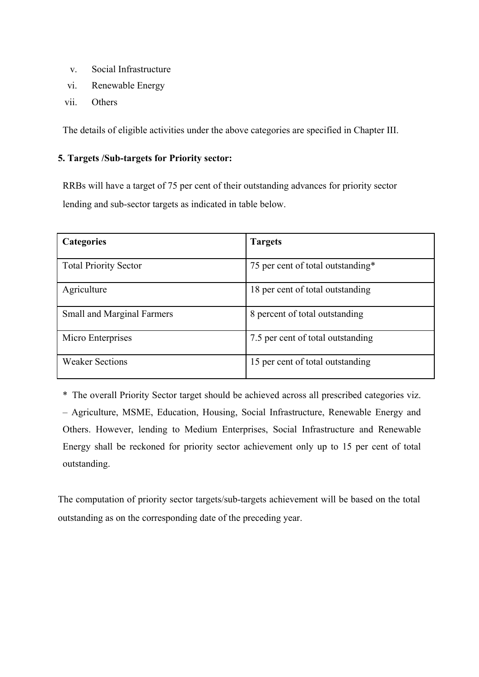- v. Social Infrastructure
- vi. Renewable Energy
- vii. Others

The details of eligible activities under the above categories are specified in Chapter III.

## **5. Targets /Sub-targets for Priority sector:**

RRBs will have a target of 75 per cent of their outstanding advances for priority sector lending and sub-sector targets as indicated in table below.

| <b>Categories</b>                 | <b>Targets</b>                    |  |
|-----------------------------------|-----------------------------------|--|
| <b>Total Priority Sector</b>      | 75 per cent of total outstanding* |  |
| Agriculture                       | 18 per cent of total outstanding  |  |
| <b>Small and Marginal Farmers</b> | 8 percent of total outstanding    |  |
| Micro Enterprises                 | 7.5 per cent of total outstanding |  |
| <b>Weaker Sections</b>            | 15 per cent of total outstanding  |  |

\* The overall Priority Sector target should be achieved across all prescribed categories viz. – Agriculture, MSME, Education, Housing, Social Infrastructure, Renewable Energy and Others. However, lending to Medium Enterprises, Social Infrastructure and Renewable Energy shall be reckoned for priority sector achievement only up to 15 per cent of total outstanding.

The computation of priority sector targets/sub-targets achievement will be based on the total outstanding as on the corresponding date of the preceding year.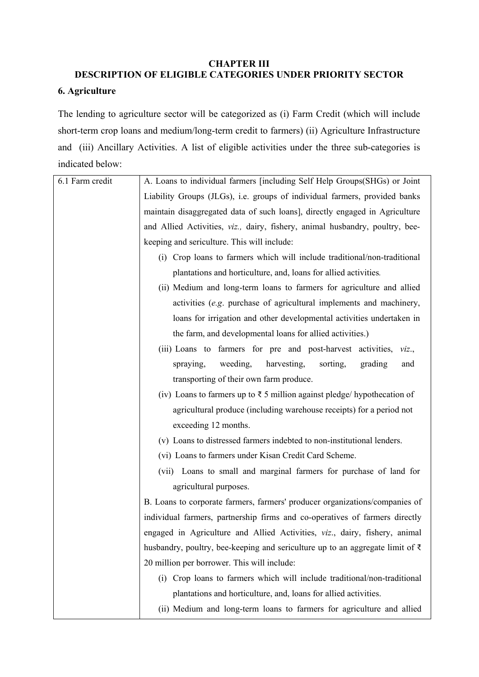## **CHAPTER III**

# **DESCRIPTION OF ELIGIBLE CATEGORIES UNDER PRIORITY SECTOR 6. Agriculture**

The lending to agriculture sector will be categorized as (i) Farm Credit (which will include short-term crop loans and medium/long-term credit to farmers) (ii) Agriculture Infrastructure and (iii) Ancillary Activities. A list of eligible activities under the three sub-categories is indicated below:

| 6.1 Farm credit | A. Loans to individual farmers [including Self Help Groups(SHGs) or Joint                                                                                                                                                                                                                                                                                                                                                  |  |  |
|-----------------|----------------------------------------------------------------------------------------------------------------------------------------------------------------------------------------------------------------------------------------------------------------------------------------------------------------------------------------------------------------------------------------------------------------------------|--|--|
|                 | Liability Groups (JLGs), i.e. groups of individual farmers, provided banks                                                                                                                                                                                                                                                                                                                                                 |  |  |
|                 | maintain disaggregated data of such loans], directly engaged in Agriculture                                                                                                                                                                                                                                                                                                                                                |  |  |
|                 | and Allied Activities, viz., dairy, fishery, animal husbandry, poultry, bee-<br>keeping and sericulture. This will include:<br>(i) Crop loans to farmers which will include traditional/non-traditional<br>plantations and horticulture, and, loans for allied activities.<br>(ii) Medium and long-term loans to farmers for agriculture and allied<br>activities (e.g. purchase of agricultural implements and machinery, |  |  |
|                 |                                                                                                                                                                                                                                                                                                                                                                                                                            |  |  |
|                 |                                                                                                                                                                                                                                                                                                                                                                                                                            |  |  |
|                 |                                                                                                                                                                                                                                                                                                                                                                                                                            |  |  |
|                 |                                                                                                                                                                                                                                                                                                                                                                                                                            |  |  |
|                 |                                                                                                                                                                                                                                                                                                                                                                                                                            |  |  |
|                 | loans for irrigation and other developmental activities undertaken in                                                                                                                                                                                                                                                                                                                                                      |  |  |
|                 | the farm, and developmental loans for allied activities.)                                                                                                                                                                                                                                                                                                                                                                  |  |  |
|                 | (iii) Loans to farmers for pre and post-harvest activities, viz.,                                                                                                                                                                                                                                                                                                                                                          |  |  |
|                 | weeding,<br>harvesting,<br>spraying,<br>sorting,<br>grading<br>and                                                                                                                                                                                                                                                                                                                                                         |  |  |
|                 | transporting of their own farm produce.                                                                                                                                                                                                                                                                                                                                                                                    |  |  |
|                 | (iv) Loans to farmers up to $\overline{\xi}$ 5 million against pledge/ hypothecation of                                                                                                                                                                                                                                                                                                                                    |  |  |
|                 | agricultural produce (including warehouse receipts) for a period not                                                                                                                                                                                                                                                                                                                                                       |  |  |
|                 | exceeding 12 months.                                                                                                                                                                                                                                                                                                                                                                                                       |  |  |
|                 | (v) Loans to distressed farmers indebted to non-institutional lenders.                                                                                                                                                                                                                                                                                                                                                     |  |  |
|                 | (vi) Loans to farmers under Kisan Credit Card Scheme.                                                                                                                                                                                                                                                                                                                                                                      |  |  |
|                 | (vii) Loans to small and marginal farmers for purchase of land for                                                                                                                                                                                                                                                                                                                                                         |  |  |
|                 | agricultural purposes.                                                                                                                                                                                                                                                                                                                                                                                                     |  |  |
|                 | B. Loans to corporate farmers, farmers' producer organizations/companies of<br>individual farmers, partnership firms and co-operatives of farmers directly<br>engaged in Agriculture and Allied Activities, viz., dairy, fishery, animal<br>husbandry, poultry, bee-keeping and sericulture up to an aggregate limit of $\bar{\tau}$<br>20 million per borrower. This will include:                                        |  |  |
|                 |                                                                                                                                                                                                                                                                                                                                                                                                                            |  |  |
|                 |                                                                                                                                                                                                                                                                                                                                                                                                                            |  |  |
|                 |                                                                                                                                                                                                                                                                                                                                                                                                                            |  |  |
|                 |                                                                                                                                                                                                                                                                                                                                                                                                                            |  |  |
|                 | (i) Crop loans to farmers which will include traditional/non-traditional                                                                                                                                                                                                                                                                                                                                                   |  |  |
|                 | plantations and horticulture, and, loans for allied activities.                                                                                                                                                                                                                                                                                                                                                            |  |  |
|                 | (ii) Medium and long-term loans to farmers for agriculture and allied                                                                                                                                                                                                                                                                                                                                                      |  |  |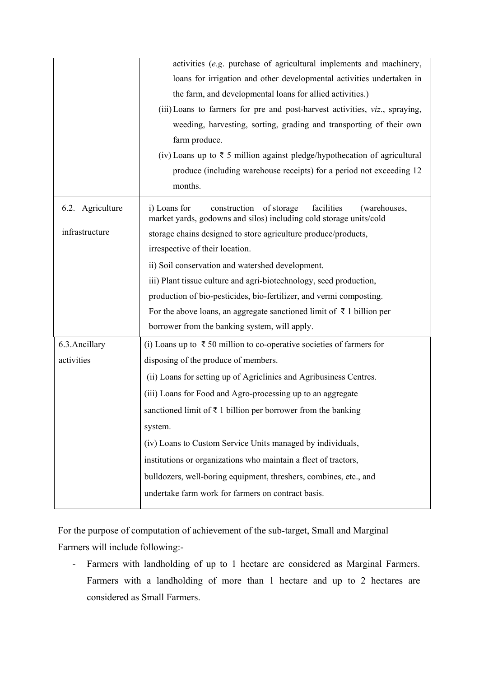|                  | activities (e.g. purchase of agricultural implements and machinery,                                                                         |  |  |  |
|------------------|---------------------------------------------------------------------------------------------------------------------------------------------|--|--|--|
|                  | loans for irrigation and other developmental activities undertaken in                                                                       |  |  |  |
|                  | the farm, and developmental loans for allied activities.)                                                                                   |  |  |  |
|                  | (iii) Loans to farmers for pre and post-harvest activities, viz., spraying,                                                                 |  |  |  |
|                  | weeding, harvesting, sorting, grading and transporting of their own                                                                         |  |  |  |
|                  | farm produce.                                                                                                                               |  |  |  |
|                  | (iv) Loans up to $\bar{\tau}$ 5 million against pledge/hypothecation of agricultural                                                        |  |  |  |
|                  | produce (including warehouse receipts) for a period not exceeding 12                                                                        |  |  |  |
|                  | months.                                                                                                                                     |  |  |  |
| 6.2. Agriculture | i) Loans for<br>construction of storage<br>facilities<br>(warehouses,<br>market yards, godowns and silos) including cold storage units/cold |  |  |  |
| infrastructure   | storage chains designed to store agriculture produce/products,                                                                              |  |  |  |
|                  | irrespective of their location.                                                                                                             |  |  |  |
|                  | ii) Soil conservation and watershed development.                                                                                            |  |  |  |
|                  | iii) Plant tissue culture and agri-biotechnology, seed production,                                                                          |  |  |  |
|                  | production of bio-pesticides, bio-fertilizer, and vermi composting.                                                                         |  |  |  |
|                  | For the above loans, an aggregate sanctioned limit of $\bar{\tau}$ 1 billion per                                                            |  |  |  |
|                  | borrower from the banking system, will apply.                                                                                               |  |  |  |
| 6.3. Ancillary   | (i) Loans up to $\bar{\tau}$ 50 million to co-operative societies of farmers for                                                            |  |  |  |
| activities       | disposing of the produce of members.                                                                                                        |  |  |  |
|                  | (ii) Loans for setting up of Agriclinics and Agribusiness Centres.                                                                          |  |  |  |
|                  | (iii) Loans for Food and Agro-processing up to an aggregate                                                                                 |  |  |  |
|                  | sanctioned limit of $\bar{\tau}$ 1 billion per borrower from the banking                                                                    |  |  |  |
|                  | system.                                                                                                                                     |  |  |  |
|                  | (iv) Loans to Custom Service Units managed by individuals,                                                                                  |  |  |  |
|                  | institutions or organizations who maintain a fleet of tractors,                                                                             |  |  |  |
|                  | bulldozers, well-boring equipment, threshers, combines, etc., and                                                                           |  |  |  |
|                  | undertake farm work for farmers on contract basis.                                                                                          |  |  |  |
|                  |                                                                                                                                             |  |  |  |

For the purpose of computation of achievement of the sub-target, Small and Marginal Farmers will include following:-

- Farmers with landholding of up to 1 hectare are considered as Marginal Farmers. Farmers with a landholding of more than 1 hectare and up to 2 hectares are considered as Small Farmers.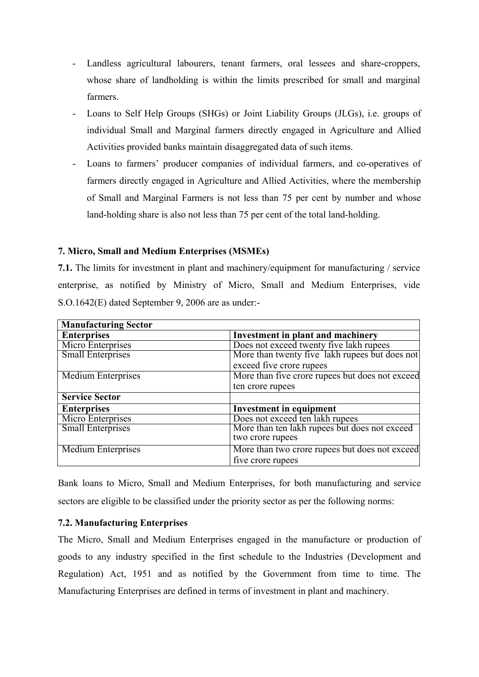- Landless agricultural labourers, tenant farmers, oral lessees and share-croppers, whose share of landholding is within the limits prescribed for small and marginal farmers.
- Loans to Self Help Groups (SHGs) or Joint Liability Groups (JLGs), i.e. groups of individual Small and Marginal farmers directly engaged in Agriculture and Allied Activities provided banks maintain disaggregated data of such items.
- Loans to farmers' producer companies of individual farmers, and co-operatives of farmers directly engaged in Agriculture and Allied Activities, where the membership of Small and Marginal Farmers is not less than 75 per cent by number and whose land-holding share is also not less than 75 per cent of the total land-holding.

## **7. Micro, Small and Medium Enterprises (MSMEs)**

**7.1.** The limits for investment in plant and machinery/equipment for manufacturing / service enterprise, as notified by Ministry of Micro, Small and Medium Enterprises, vide S.O.1642(E) dated September 9, 2006 are as under:-

| <b>Manufacturing Sector</b> |                                                 |  |  |  |
|-----------------------------|-------------------------------------------------|--|--|--|
| <b>Enterprises</b>          | <b>Investment in plant and machinery</b>        |  |  |  |
| Micro Enterprises           | Does not exceed twenty five lakh rupees         |  |  |  |
| <b>Small Enterprises</b>    | More than twenty five lakh rupees but does not  |  |  |  |
|                             | exceed five crore rupees                        |  |  |  |
| <b>Medium Enterprises</b>   | More than five crore rupees but does not exceed |  |  |  |
|                             | ten crore rupees                                |  |  |  |
| <b>Service Sector</b>       |                                                 |  |  |  |
| <b>Enterprises</b>          | <b>Investment in equipment</b>                  |  |  |  |
| Micro Enterprises           | Does not exceed ten lakh rupees                 |  |  |  |
| <b>Small Enterprises</b>    | More than ten lakh rupees but does not exceed   |  |  |  |
|                             | two crore rupees                                |  |  |  |
| <b>Medium Enterprises</b>   | More than two crore rupees but does not exceed  |  |  |  |
|                             | five crore rupees                               |  |  |  |

Bank loans to Micro, Small and Medium Enterprises, for both manufacturing and service sectors are eligible to be classified under the priority sector as per the following norms:

## **7.2. Manufacturing Enterprises**

The Micro, Small and Medium Enterprises engaged in the manufacture or production of goods to any industry specified in the first schedule to the Industries (Development and Regulation) Act, 1951 and as notified by the Government from time to time. The Manufacturing Enterprises are defined in terms of investment in plant and machinery.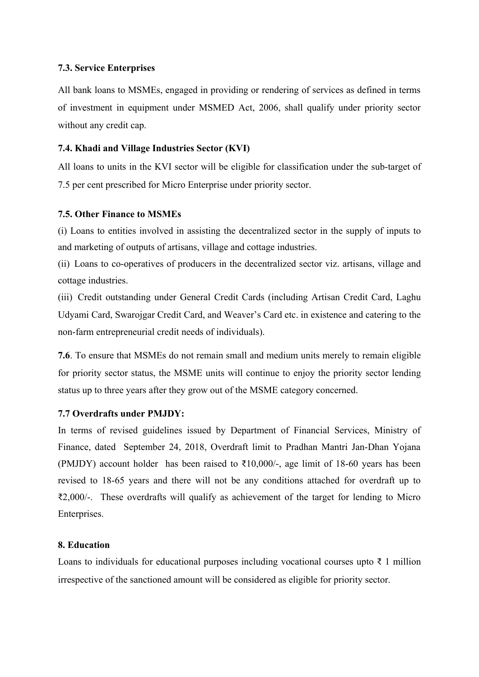## **7.3. Service Enterprises**

All bank loans to MSMEs, engaged in providing or rendering of services as defined in terms of investment in equipment under MSMED Act, 2006, shall qualify under priority sector without any credit cap.

## **7.4. Khadi and Village Industries Sector (KVI)**

All loans to units in the KVI sector will be eligible for classification under the sub-target of 7.5 per cent prescribed for Micro Enterprise under priority sector.

## **7.5. Other Finance to MSMEs**

(i) Loans to entities involved in assisting the decentralized sector in the supply of inputs to and marketing of outputs of artisans, village and cottage industries.

(ii) Loans to co-operatives of producers in the decentralized sector viz. artisans, village and cottage industries.

(iii) Credit outstanding under General Credit Cards (including Artisan Credit Card, Laghu Udyami Card, Swarojgar Credit Card, and Weaver's Card etc. in existence and catering to the non-farm entrepreneurial credit needs of individuals).

**7.6**. To ensure that MSMEs do not remain small and medium units merely to remain eligible for priority sector status, the MSME units will continue to enjoy the priority sector lending status up to three years after they grow out of the MSME category concerned.

## **7.7 Overdrafts under PMJDY:**

In terms of revised guidelines issued by Department of Financial Services, Ministry of Finance, dated September 24, 2018, Overdraft limit to Pradhan Mantri Jan-Dhan Yojana (PMJDY) account holder has been raised to  $\overline{\epsilon}10,000/$ -, age limit of 18-60 years has been revised to 18-65 years and there will not be any conditions attached for overdraft up to ₹2,000/-. These overdrafts will qualify as achievement of the target for lending to Micro Enterprises.

## **8. Education**

Loans to individuals for educational purposes including vocational courses upto  $\bar{\tau}$  1 million irrespective of the sanctioned amount will be considered as eligible for priority sector.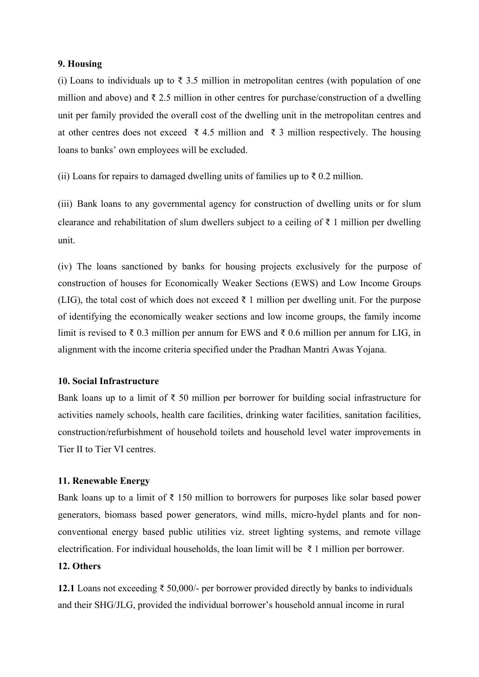#### **9. Housing**

(i) Loans to individuals up to  $\bar{\tau}$  3.5 million in metropolitan centres (with population of one million and above) and  $\bar{\tau}$  2.5 million in other centres for purchase/construction of a dwelling unit per family provided the overall cost of the dwelling unit in the metropolitan centres and at other centres does not exceed ₹ 4.5 million and ₹ 3 million respectively. The housing loans to banks' own employees will be excluded.

(ii) Loans for repairs to damaged dwelling units of families up to  $\bar{\tau}$  0.2 million.

(iii) Bank loans to any governmental agency for construction of dwelling units or for slum clearance and rehabilitation of slum dwellers subject to a ceiling of  $\bar{\tau}$  1 million per dwelling unit.

(iv) The loans sanctioned by banks for housing projects exclusively for the purpose of construction of houses for Economically Weaker Sections (EWS) and Low Income Groups (LIG), the total cost of which does not exceed  $\bar{\tau}$  1 million per dwelling unit. For the purpose of identifying the economically weaker sections and low income groups, the family income limit is revised to ₹ 0.3 million per annum for EWS and ₹ 0.6 million per annum for LIG, in alignment with the income criteria specified under the Pradhan Mantri Awas Yojana.

#### **10. Social Infrastructure**

Bank loans up to a limit of  $\bar{\tau}$  50 million per borrower for building social infrastructure for activities namely schools, health care facilities, drinking water facilities, sanitation facilities, construction/refurbishment of household toilets and household level water improvements in Tier II to Tier VI centres.

#### **11. Renewable Energy**

Bank loans up to a limit of  $\bar{\tau}$  150 million to borrowers for purposes like solar based power generators, biomass based power generators, wind mills, micro-hydel plants and for nonconventional energy based public utilities viz. street lighting systems, and remote village electrification. For individual households, the loan limit will be  $\bar{\tau}$  1 million per borrower.

## **12. Others**

**12.1** Loans not exceeding ₹ 50,000/- per borrower provided directly by banks to individuals and their SHG/JLG, provided the individual borrower's household annual income in rural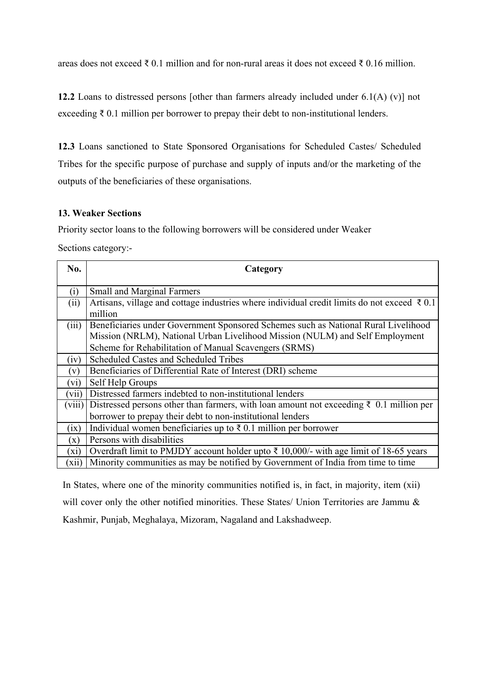areas does not exceed ₹ 0.1 million and for non-rural areas it does not exceed ₹ 0.16 million.

**12.2** Loans to distressed persons [other than farmers already included under 6.1(A) (v)] not exceeding  $\bar{\tau}$  0.1 million per borrower to prepay their debt to non-institutional lenders.

**12.3** Loans sanctioned to State Sponsored Organisations for Scheduled Castes/ Scheduled Tribes for the specific purpose of purchase and supply of inputs and/or the marketing of the outputs of the beneficiaries of these organisations.

## **13. Weaker Sections**

Priority sector loans to the following borrowers will be considered under Weaker

Sections category:-

| No.            | Category                                                                                                          |  |  |
|----------------|-------------------------------------------------------------------------------------------------------------------|--|--|
| (i)            | <b>Small and Marginal Farmers</b>                                                                                 |  |  |
| (ii)           | Artisans, village and cottage industries where individual credit limits do not exceed $\bar{\tau}$ 0.1<br>million |  |  |
| (iii)          | Beneficiaries under Government Sponsored Schemes such as National Rural Livelihood                                |  |  |
|                | Mission (NRLM), National Urban Livelihood Mission (NULM) and Self Employment                                      |  |  |
|                | Scheme for Rehabilitation of Manual Scavengers (SRMS)                                                             |  |  |
| (iv)           | Scheduled Castes and Scheduled Tribes                                                                             |  |  |
| (v)            | Beneficiaries of Differential Rate of Interest (DRI) scheme                                                       |  |  |
| (vi)           | Self Help Groups                                                                                                  |  |  |
| (vii)          | Distressed farmers indebted to non-institutional lenders                                                          |  |  |
| (viii)         | Distressed persons other than farmers, with loan amount not exceeding ₹ 0.1 million per                           |  |  |
|                | borrower to prepay their debt to non-institutional lenders                                                        |  |  |
| (ix)           | Individual women beneficiaries up to $\bar{\tau}$ 0.1 million per borrower                                        |  |  |
| $(\mathbf{x})$ | Persons with disabilities                                                                                         |  |  |
| $(x_i)$        | Overdraft limit to PMJDY account holder upto $\bar{\tau}$ 10,000/- with age limit of 18-65 years                  |  |  |
| (X11)          | Minority communities as may be notified by Government of India from time to time                                  |  |  |

In States, where one of the minority communities notified is, in fact, in majority, item (xii) will cover only the other notified minorities. These States/ Union Territories are Jammu & Kashmir, Punjab, Meghalaya, Mizoram, Nagaland and Lakshadweep.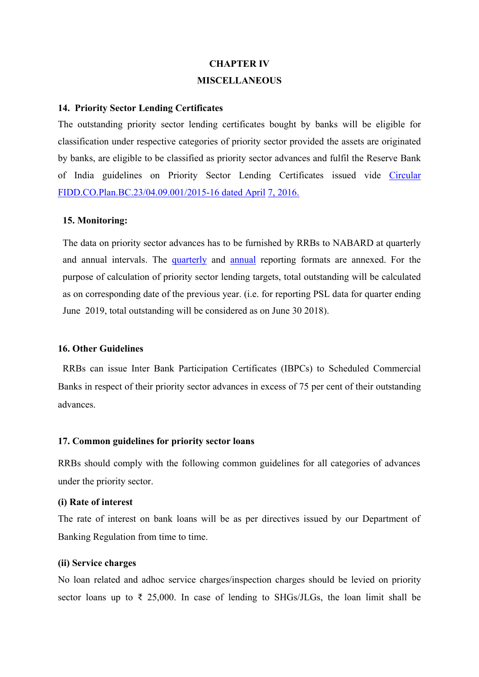# **CHAPTER IV MISCELLANEOUS**

#### **14. Priority Sector Lending Certificates**

The outstanding priority sector lending certificates bought by banks will be eligible for classification under respective categories of priority sector provided the assets are originated by banks, are eligible to be classified as priority sector advances and fulfil the Reserve Bank of India guidelines on Priority Sector Lending Certificates issued vide [Circular](https://www.rbi.org.in/Scripts/NotificationUser.aspx?Id=10339&Mode=0)  [FIDD.CO.Plan.BC.23/04.09.001/2015-16 dated April](https://www.rbi.org.in/Scripts/NotificationUser.aspx?Id=10339&Mode=0) [7, 2016.](https://www.rbi.org.in/Scripts/NotificationUser.aspx?Id=10339&Mode=0)

#### **15. Monitoring:**

The data on priority sector advances has to be furnished by RRBs to NABARD at quarterly and annual intervals. The [quarterly](http://rbidocs.rbi.org.in/rdocs/content/docs/QF27062019_AN.xls) and [annual](http://rbidocs.rbi.org.in/rdocs/content/docs/ANNF27062019_AN.xls) reporting formats are annexed. For the purpose of calculation of priority sector lending targets, total outstanding will be calculated as on corresponding date of the previous year. (i.e. for reporting PSL data for quarter ending June 2019, total outstanding will be considered as on June 30 2018).

## **16. Other Guidelines**

RRBs can issue Inter Bank Participation Certificates (IBPCs) to Scheduled Commercial Banks in respect of their priority sector advances in excess of 75 per cent of their outstanding advances.

#### **17. Common guidelines for priority sector loans**

RRBs should comply with the following common guidelines for all categories of advances under the priority sector.

#### **(i) Rate of interest**

The rate of interest on bank loans will be as per directives issued by our Department of Banking Regulation from time to time.

#### **(ii) Service charges**

No loan related and adhoc service charges/inspection charges should be levied on priority sector loans up to  $\bar{\tau}$  25,000. In case of lending to SHGs/JLGs, the loan limit shall be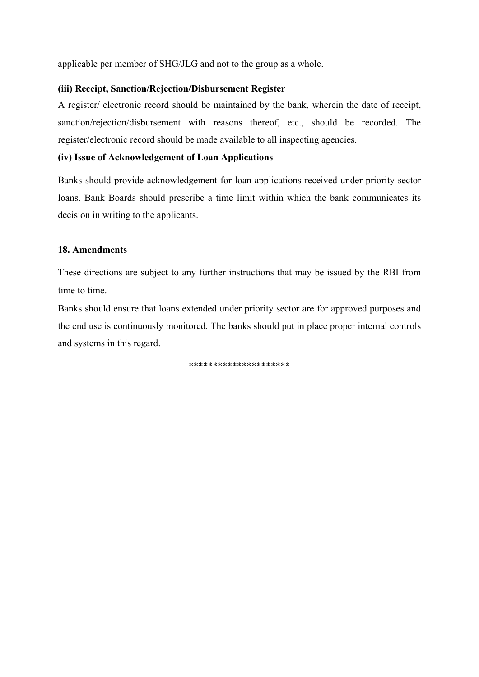applicable per member of SHG/JLG and not to the group as a whole.

## **(iii) Receipt, Sanction/Rejection/Disbursement Register**

A register/ electronic record should be maintained by the bank, wherein the date of receipt, sanction/rejection/disbursement with reasons thereof, etc., should be recorded. The register/electronic record should be made available to all inspecting agencies.

## **(iv) Issue of Acknowledgement of Loan Applications**

Banks should provide acknowledgement for loan applications received under priority sector loans. Bank Boards should prescribe a time limit within which the bank communicates its decision in writing to the applicants.

## **18. Amendments**

These directions are subject to any further instructions that may be issued by the RBI from time to time.

Banks should ensure that loans extended under priority sector are for approved purposes and the end use is continuously monitored. The banks should put in place proper internal controls and systems in this regard.

\*\*\*\*\*\*\*\*\*\*\*\*\*\*\*\*\*\*\*\*\*